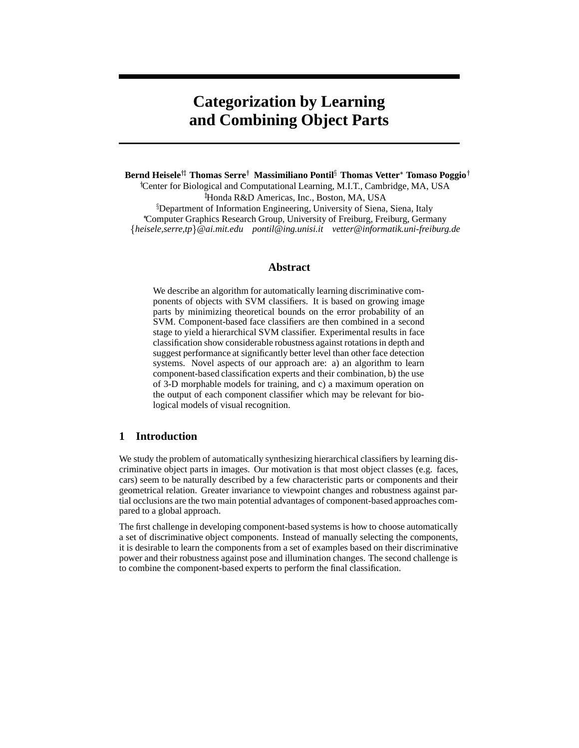# **Categorization by Learning and Combining Object Parts**

 $\mathbf{Bern}$  Heisele $^{\dagger\ddagger}$  Thomas Serre $^{\dagger}$  Massimiliano Pontil $^{\S}$  Thomas Vetter $^*$  Tomaso Poggio $^{\dagger}$ 

 Center for Biological and Computational Learning, M.I.T., Cambridge, MA, USA - Honda R&D Americas, Inc., Boston, MA, USA Department of Information Engineering, University of Siena, Siena, Italy Computer Graphics Research Group, University of Freiburg, Freiburg, Germany *heisele,serre,tp*-*@ai.mit.edu pontil@ing.unisi.it vetter@informatik.uni-freiburg.de*

## **Abstract**

We describe an algorithm for automatically learning discriminative components of objects with SVM classifiers. It is based on growing image parts by minimizing theoretical bounds on the error probability of an SVM. Component-based face classifiers are then combined in a second stage to yield a hierarchical SVM classifier. Experimental results in face classification show considerable robustness against rotations in depth and suggest performance at significantly better level than other face detection systems. Novel aspects of our approach are: a) an algorithm to learn component-based classification experts and their combination, b) the use of 3-D morphable models for training, and c) a maximum operation on the output of each component classifier which may be relevant for biological models of visual recognition.

# **1 Introduction**

We study the problem of automatically synthesizing hierarchical classifiers by learning discriminative object parts in images. Our motivation is that most object classes (e.g. faces, cars) seem to be naturally described by a few characteristic parts or components and their geometrical relation. Greater invariance to viewpoint changes and robustness against partial occlusions are the two main potential advantages of component-based approaches compared to a global approach.

The first challenge in developing component-based systems is how to choose automatically a set of discriminative object components. Instead of manually selecting the components, it is desirable to learn the components from a set of examples based on their discriminative power and their robustness against pose and illumination changes. The second challenge is to combine the component-based experts to perform the final classification.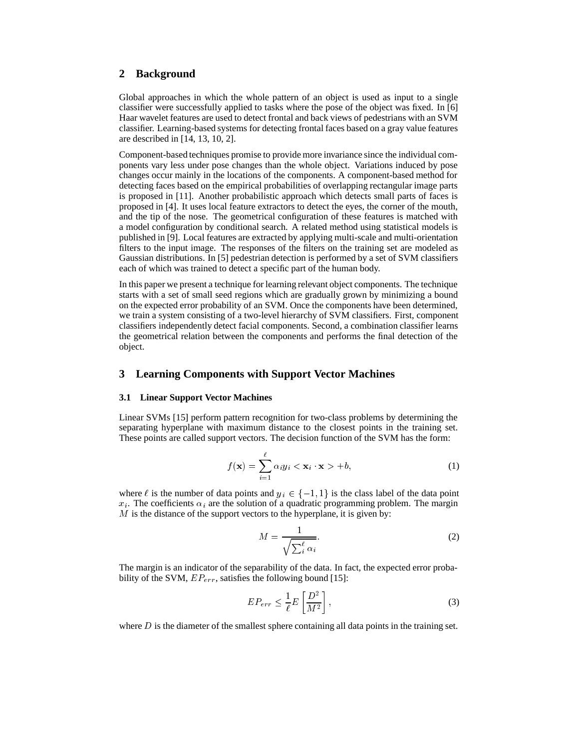# **2 Background**

Global approaches in which the whole pattern of an object is used as input to a single classifier were successfully applied to tasks where the pose of the object was fixed. In [6] Haar wavelet features are used to detect frontal and back views of pedestrians with an SVM classifier. Learning-based systems for detecting frontal faces based on a gray value features are described in [14, 13, 10, 2].

Component-based techniques promise to provide more invariance since the individual components vary less under pose changes than the whole object. Variations induced by pose changes occur mainly in the locations of the components. A component-based method for detecting faces based on the empirical probabilities of overlapping rectangular image parts is proposed in [11]. Another probabilistic approach which detects small parts of faces is proposed in [4]. It uses local feature extractors to detect the eyes, the corner of the mouth, and the tip of the nose. The geometrical configuration of these features is matched with a model configuration by conditional search. A related method using statistical models is published in [9]. Local features are extracted by applying multi-scale and multi-orientation filters to the input image. The responses of the filters on the training set are modeled as Gaussian distributions. In [5] pedestrian detection is performed by a set of SVM classifiers each of which was trained to detect a specific part of the human body.

In this paper we present a technique for learning relevant object components. The technique starts with a set of small seed regions which are gradually grown by minimizing a bound on the expected error probability of an SVM. Once the components have been determined, we train a system consisting of a two-level hierarchy of SVM classifiers. First, component classifiers independently detect facial components. Second, a combination classifier learns the geometrical relation between the components and performs the final detection of the object.

## **3 Learning Components with Support Vector Machines**

#### **3.1 Linear Support Vector Machines**

Linear SVMs [15] perform pattern recognition for two-class problems by determining the separating hyperplane with maximum distance to the closest points in the training set. These points are called support vectors. The decision function of the SVM has the form:

$$
f(\mathbf{x}) = \sum_{i=1}^{\ell} \alpha_i y_i < \mathbf{x}_i \cdot \mathbf{x} > +b,\tag{1}
$$

where  $\ell$  is the number of data points and  $y_i \in \{-1, 1\}$  is the class label of the data point  $x_i$ . The coefficients  $\alpha_i$  are the solution of a quadratic programming problem. The margin  $M$  is the distance of the support vectors to the hyperplane, it is given by:

$$
M = \frac{1}{\sqrt{\sum_{i}^{\ell} \alpha_i}}.
$$
 (2)

The margin is an indicator of the separability of the data. In fact, the expected error probability of the SVM,  $EP_{err}$ , satisfies the following bound [15]:

$$
EP_{err} \leq \frac{1}{\ell} E\left[\frac{D^2}{M^2}\right],\tag{3}
$$

where  $D$  is the diameter of the smallest sphere containing all data points in the training set.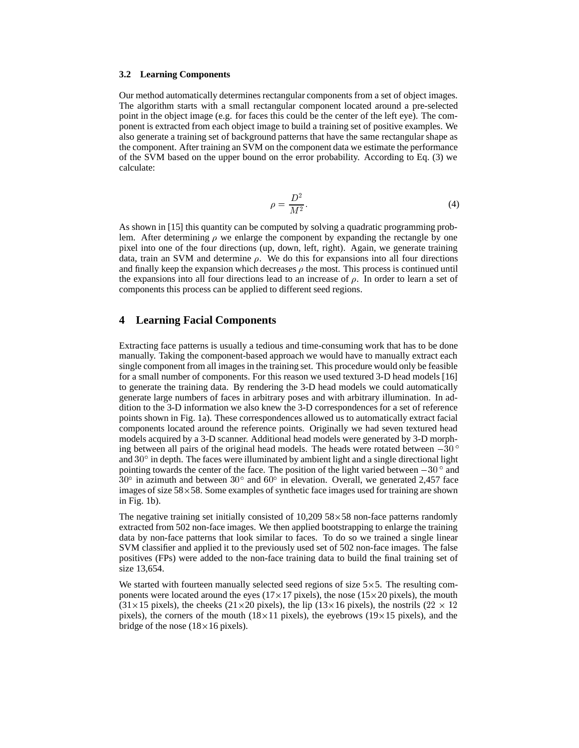#### **3.2 Learning Components**

Our method automatically determines rectangular components from a set of object images. The algorithm starts with a small rectangular component located around a pre-selected point in the object image (e.g. for faces this could be the center of the left eye). The component is extracted from each object image to build a training set of positive examples. We also generate a training set of background patterns that have the same rectangular shape as the component. After training an SVM on the component data we estimate the performance of the SVM based on the upper bound on the error probability. According to Eq. (3) we calculate:

$$
\rho = \frac{D^2}{M^2}.\tag{4}
$$

As shown in [15] this quantity can be computed by solving a quadratic programming problem. After determining  $\rho$  we enlarge the component by expanding the rectangle by one pixel into one of the four directions (up, down, left, right). Again, we generate training data, train an SVM and determine  $\rho$ . We do this for expansions into all four directions and finally keep the expansion which decreases  $\rho$  the most. This process is continued until the expansions into all four directions lead to an increase of  $\rho$ . In order to learn a set of components this process can be applied to different seed regions.

## **4 Learning Facial Components**

Extracting face patterns is usually a tedious and time-consuming work that has to be done manually. Taking the component-based approach we would have to manually extract each single component from all images in the training set. This procedure would only be feasible for a small number of components. For this reason we used textured 3-D head models [16] to generate the training data. By rendering the 3-D head models we could automatically generate large numbers of faces in arbitrary poses and with arbitrary illumination. In addition to the 3-D information we also knew the 3-D correspondences for a set of reference points shown in Fig. 1a). These correspondences allowed us to automatically extract facial components located around the reference points. Originally we had seven textured head models acquired by a 3-D scanner. Additional head models were generated by 3-D morphing between all pairs of the original head models. The heads were rotated between  $-30^{\circ}$ and  $30^{\circ}$  in depth. The faces were illuminated by ambient light and a single directional light pointing towards the center of the face. The position of the light varied between  $-30^{\circ}$  and  $30^{\circ}$  in azimuth and between  $30^{\circ}$  and  $60^{\circ}$  in elevation. Overall, we generated 2,457 face images of size  $58\times58$ . Some examples of synthetic face images used for training are shown in Fig. 1b).

The negative training set initially consisted of  $10,209\,58\times58$  non-face patterns randomly extracted from 502 non-face images. We then applied bootstrapping to enlarge the training data by non-face patterns that look similar to faces. To do so we trained a single linear SVM classifier and applied it to the previously used set of 502 non-face images. The false positives (FPs) were added to the non-face training data to build the final training set of size 13,654.

We started with fourteen manually selected seed regions of size  $5\times 5$ . The resulting components were located around the eyes ( $17 \times 17$  pixels), the nose ( $15 \times 20$  pixels), the mouth  $(31\times15$  pixels), the cheeks  $(21\times20$  pixels), the lip  $(13\times16$  pixels), the nostrils  $(22\times12)$ pixels), the corners of the mouth ( $18\times11$  pixels), the eyebrows ( $19\times15$  pixels), and the bridge of the nose  $(18\times16$  pixels).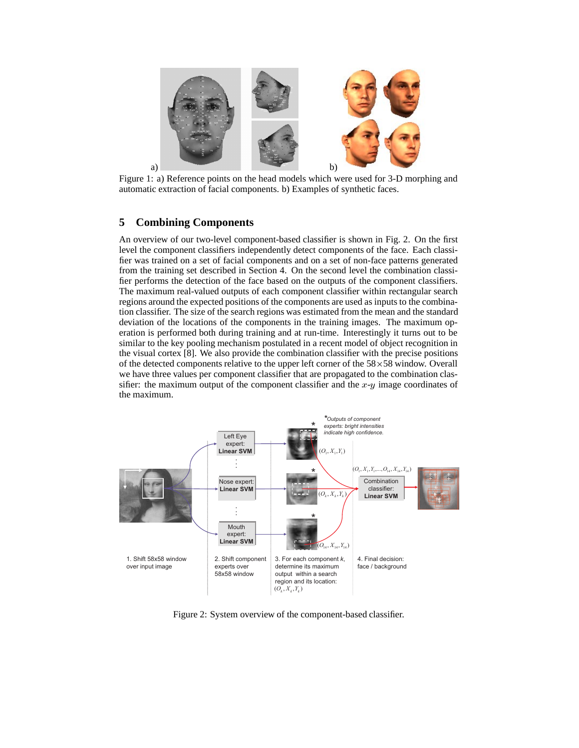

Figure 1: a) Reference points on the head models which were used for 3-D morphing and automatic extraction of facial components. b) Examples of synthetic faces.

# **5 Combining Components**

An overview of our two-level component-based classifier is shown in Fig. 2. On the first level the component classifiers independently detect components of the face. Each classifier was trained on a set of facial components and on a set of non-face patterns generated from the training set described in Section 4. On the second level the combination classifier performs the detection of the face based on the outputs of the component classifiers. The maximum real-valued outputs of each component classifier within rectangular search regions around the expected positions of the components are used as inputs to the combination classifier. The size of the search regions was estimated from the mean and the standard deviation of the locations of the components in the training images. The maximum operation is performed both during training and at run-time. Interestingly it turns out to be similar to the key pooling mechanism postulated in a recent model of object recognition in the visual cortex [8]. We also provide the combination classifier with the precise positions of the detected components relative to the upper left corner of the  $58\times58$  window. Overall we have three values per component classifier that are propagated to the combination classifier: the maximum output of the component classifier and the  $x-y$  image coordinates of the maximum.



Figure 2: System overview of the component-based classifier.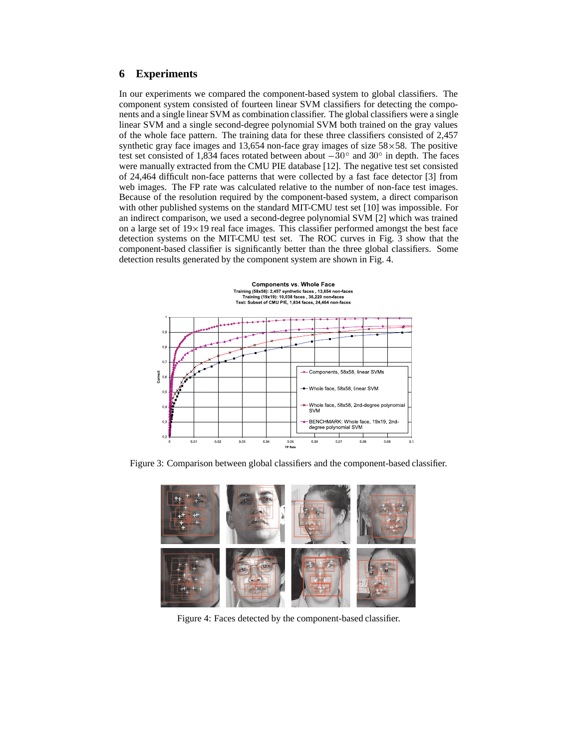# **6 Experiments**

In our experiments we compared the component-based system to global classifiers. The component system consisted of fourteen linear SVM classifiers for detecting the components and a single linear SVM as combination classifier. The global classifiers were a single linear SVM and a single second-degree polynomial SVM both trained on the gray values of the whole face pattern. The training data for these three classifiers consisted of 2,457 synthetic gray face images and 13,654 non-face gray images of size  $58\times58$ . The positive test set consisted of 1,834 faces rotated between about  $-30^{\circ}$  and  $30^{\circ}$  in depth. The faces were manually extracted from the CMU PIE database [12]. The negative test set consisted of 24,464 difficult non-face patterns that were collected by a fast face detector [3] from web images. The FP rate was calculated relative to the number of non-face test images. Because of the resolution required by the component-based system, a direct comparison with other published systems on the standard MIT-CMU test set [10] was impossible. For an indirect comparison, we used a second-degree polynomial SVM [2] which was trained on a large set of  $19\times19$  real face images. This classifier performed amongst the best face detection systems on the MIT-CMU test set. The ROC curves in Fig. 3 show that the component-based classifier is significantly better than the three global classifiers. Some detection results generated by the component system are shown in Fig. 4.



Figure 3: Comparison between global classifiers and the component-based classifier.



Figure 4: Faces detected by the component-based classifier.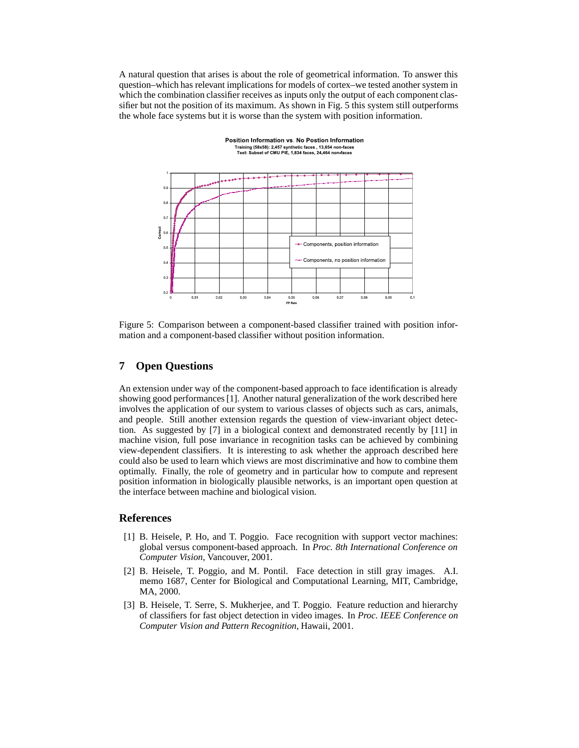A natural question that arises is about the role of geometrical information. To answer this question–which has relevant implications for models of cortex–we tested another system in which the combination classifier receives as inputs only the output of each component classifier but not the position of its maximum. As shown in Fig. 5 this system still outperforms the whole face systems but it is worse than the system with position information.

Position Information vs. No Postion Information



Figure 5: Comparison between a component-based classifier trained with position information and a component-based classifier without position information.

## **7 Open Questions**

An extension under way of the component-based approach to face identification is already showing good performances [1]. Another natural generalization of the work described here involves the application of our system to various classes of objects such as cars, animals, and people. Still another extension regards the question of view-invariant object detection. As suggested by [7] in a biological context and demonstrated recently by [11] in machine vision, full pose invariance in recognition tasks can be achieved by combining view-dependent classifiers. It is interesting to ask whether the approach described here could also be used to learn which views are most discriminative and how to combine them optimally. Finally, the role of geometry and in particular how to compute and represent position information in biologically plausible networks, is an important open question at the interface between machine and biological vision.

### **References**

- [1] B. Heisele, P. Ho, and T. Poggio. Face recognition with support vector machines: global versus component-based approach. In *Proc. 8th International Conference on Computer Vision*, Vancouver, 2001.
- [2] B. Heisele, T. Poggio, and M. Pontil. Face detection in still gray images. A.I. memo 1687, Center for Biological and Computational Learning, MIT, Cambridge, MA, 2000.
- [3] B. Heisele, T. Serre, S. Mukherjee, and T. Poggio. Feature reduction and hierarchy of classifiers for fast object detection in video images. In *Proc. IEEE Conference on Computer Vision and Pattern Recognition*, Hawaii, 2001.